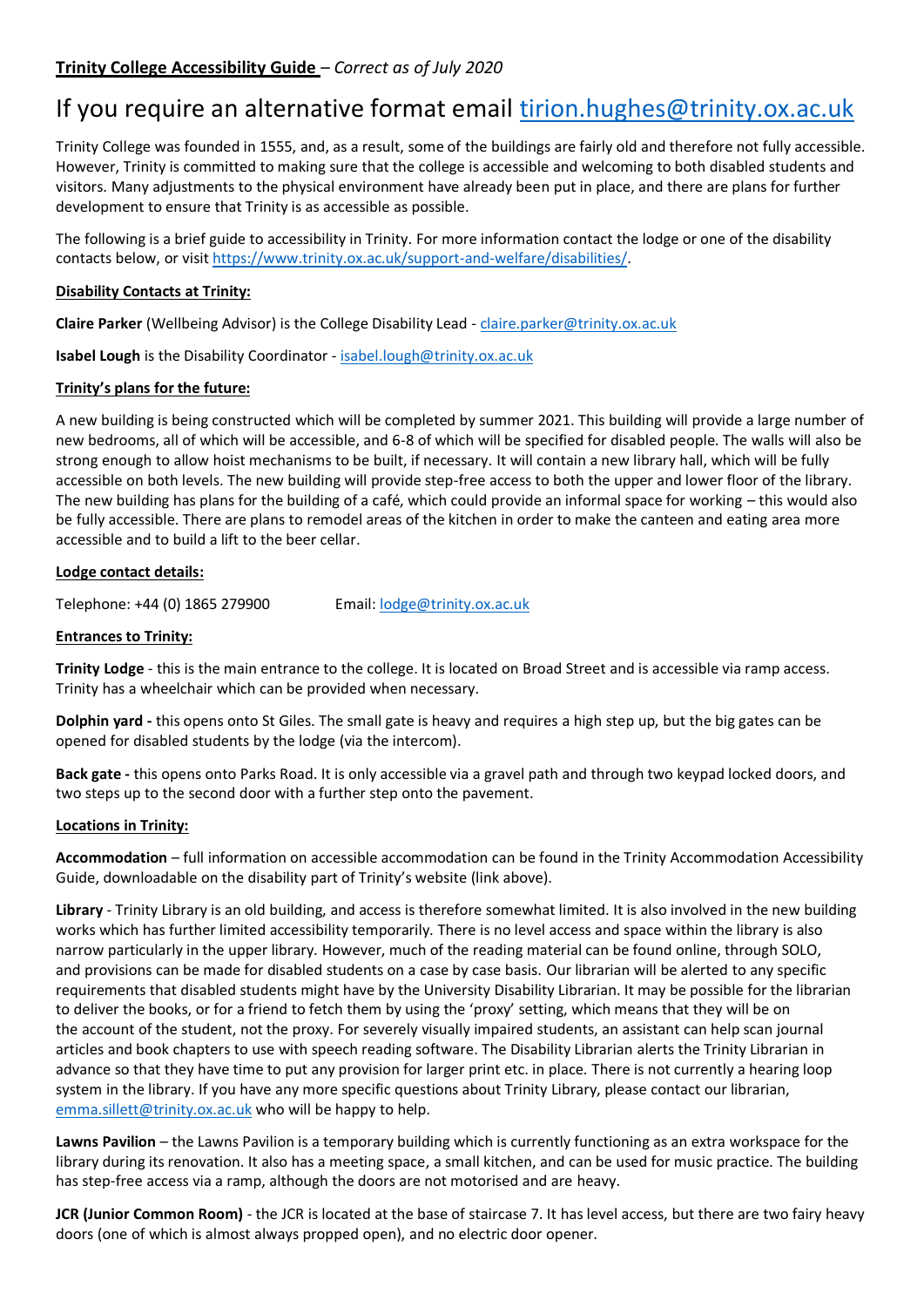# If you require an alternative format email [tirion.hughes@trinity.ox.ac.uk](mailto:tirion.hughes@trinity.ox.ac.uk)

Trinity College was founded in 1555, and, as a result, some of the buildings are fairly old and therefore not fully accessible. However, Trinity is committed to making sure that the college is accessible and welcoming to both disabled students and visitors. Many adjustments to the physical environment have already been put in place, and there are plans for further development to ensure that Trinity is as accessible as possible.

The following is a brief guide to accessibility in Trinity. For more information contact the lodge or one of the disability contacts below, or visit [https://www.trinity.ox.ac.uk/support-and-welfare/disabilities/.](https://www.trinity.ox.ac.uk/support-and-welfare/disabilities/)

# **Disability Contacts at Trinity:**

**Claire Parker** (Wellbeing Advisor) is the College Disability Lead - [claire.parker@trinity.ox.ac.uk](mailto:claire.parker@trinity.ox.ac.uk)

**Isabel Lough** is the Disability Coordinator - [isabel.lough@trinity.ox.ac.uk](mailto:isabel.lough@trinity.ox.ac.uk)

# **Trinity's plans for the future:**

A new building is being constructed which will be completed by summer 2021. This building will provide a large number of new bedrooms, all of which will be accessible, and 6-8 of which will be specified for disabled people. The walls will also be strong enough to allow hoist mechanisms to be built, if necessary. It will contain a new library hall, which will be fully accessible on both levels. The new building will provide step-free access to both the upper and lower floor of the library. The new building has plans for the building of a café, which could provide an informal space for working – this would also be fully accessible. There are plans to remodel areas of the kitchen in order to make the canteen and eating area more accessible and to build a lift to the beer cellar.

### **Lodge contact details:**

Telephone: +44 (0) 1865 279900 Email: [lodge@trinity.ox.ac.uk](mailto:lodge@trinity.ox.ac.uk)

# **Entrances to Trinity:**

**Trinity Lodge** - this is the main entrance to the college. It is located on Broad Street and is accessible via ramp access. Trinity has a wheelchair which can be provided when necessary.

**Dolphin yard -** this opens onto St Giles. The small gate is heavy and requires a high step up, but the big gates can be opened for disabled students by the lodge (via the intercom).

**Back gate -** this opens onto Parks Road. It is only accessible via a gravel path and through two keypad locked doors, and two steps up to the second door with a further step onto the pavement.

### **Locations in Trinity:**

**Accommodation** – full information on accessible accommodation can be found in the Trinity Accommodation Accessibility Guide, downloadable on the disability part of Trinity's website (link above).

**Library** - Trinity Library is an old building, and access is therefore somewhat limited. It is also involved in the new building works which has further limited accessibility temporarily. There is no level access and space within the library is also narrow particularly in the upper library. However, much of the reading material can be found online, through SOLO, and provisions can be made for disabled students on a case by case basis. Our librarian will be alerted to any specific requirements that disabled students might have by the University Disability Librarian. It may be possible for the librarian to deliver the books, or for a friend to fetch them by using the 'proxy' setting, which means that they will be on the account of the student, not the proxy. For severely visually impaired students, an assistant can help scan journal articles and book chapters to use with speech reading software. The Disability Librarian alerts the Trinity Librarian in advance so that they have time to put any provision for larger print etc. in place. There is not currently a hearing loop system in the library. If you have any more specific questions about Trinity Library, please contact our librarian, [emma.sillett@trinity.ox.ac.uk](mailto:emma.sillett@trinity.ox.ac.uk) who will be happy to help.

**Lawns Pavilion** – the Lawns Pavilion is a temporary building which is currently functioning as an extra workspace for the library during its renovation. It also has a meeting space, a small kitchen, and can be used for music practice. The building has step-free access via a ramp, although the doors are not motorised and are heavy.

**JCR (Junior Common Room)** - the JCR is located at the base of staircase 7. It has level access, but there are two fairy heavy doors (one of which is almost always propped open), and no electric door opener.